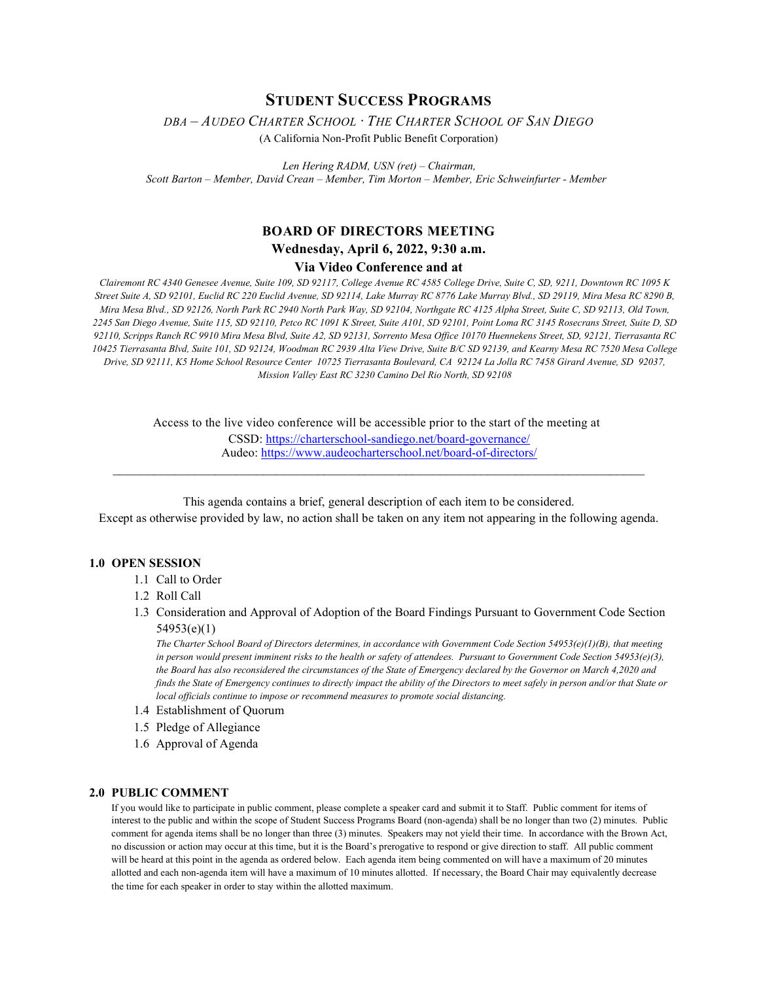# **STUDENT SUCCESS PROGRAMS**

*DBA – AUDEO CHARTER SCHOOL ∙ THE CHARTER SCHOOL OF SAN DIEGO* 

(A California Non-Profit Public Benefit Corporation)

*Len Hering RADM, USN (ret) – Chairman, Scott Barton – Member, David Crean – Member, Tim Morton – Member, Eric Schweinfurter - Member*

## **BOARD OF DIRECTORS MEETING Wednesday, April 6, 2022, 9:30 a.m. Via Video Conference and at**

*Clairemont RC 4340 Genesee Avenue, Suite 109, SD 92117, College Avenue RC 4585 College Drive, Suite C, SD, 9211, Downtown RC 1095 K Street Suite A, SD 92101, Euclid RC 220 Euclid Avenue, SD 92114, Lake Murray RC 8776 Lake Murray Blvd., SD 29119, Mira Mesa RC 8290 B, Mira Mesa Blvd., SD 92126, North Park RC 2940 North Park Way, SD 92104, Northgate RC 4125 Alpha Street, Suite C, SD 92113, Old Town, 2245 San Diego Avenue, Suite 115, SD 92110, Petco RC 1091 K Street, Suite A101, SD 92101, Point Loma RC 3145 Rosecrans Street, Suite D, SD 92110, Scripps Ranch RC 9910 Mira Mesa Blvd, Suite A2, SD 92131, Sorrento Mesa Office 10170 Huennekens Street, SD, 92121, Tierrasanta RC 10425 Tierrasanta Blvd, Suite 101, SD 92124, Woodman RC 2939 Alta View Drive, Suite B/C SD 92139, and Kearny Mesa RC 7520 Mesa College Drive, SD 92111, K5 Home School Resource Center 10725 Tierrasanta Boulevard, CA 92124 La Jolla RC 7458 Girard Avenue, SD 92037, Mission Valley East RC 3230 Camino Del Rio North, SD 92108*

Access to the live video conference will be accessible prior to the start of the meeting at

CSSD[: https://charterschool-sandiego.net/board-governance/](https://charterschool-sandiego.net/board-governance/) Audeo[: https://www.audeocharterschool.net/board-of-directors/](https://www.audeocharterschool.net/board-of-directors/)  $\_$  , and the contribution of the contribution of the contribution of the contribution of  $\mathcal{L}_\text{max}$ 

This agenda contains a brief, general description of each item to be considered. Except as otherwise provided by law, no action shall be taken on any item not appearing in the following agenda.

#### **1.0 OPEN SESSION**

- 1.1 Call to Order
- 1.2 Roll Call
- 1.3 Consideration and Approval of Adoption of the Board Findings Pursuant to Government Code Section 54953(e)(1)

*The Charter School Board of Directors determines, in accordance with Government Code Section 54953(e)(1)(B), that meeting in person would present imminent risks to the health or safety of attendees. Pursuant to Government Code Section 54953(e)(3), the Board has also reconsidered the circumstances of the State of Emergency declared by the Governor on March 4,2020 and finds the State of Emergency continues to directly impact the ability of the Directors to meet safely in person and/or that State or local officials continue to impose or recommend measures to promote social distancing.*

- 1.4 Establishment of Quorum
- 1.5 Pledge of Allegiance
- 1.6 Approval of Agenda

## **2.0 PUBLIC COMMENT**

If you would like to participate in public comment, please complete a speaker card and submit it to Staff. Public comment for items of interest to the public and within the scope of Student Success Programs Board (non-agenda) shall be no longer than two (2) minutes. Public comment for agenda items shall be no longer than three (3) minutes. Speakers may not yield their time. In accordance with the Brown Act, no discussion or action may occur at this time, but it is the Board's prerogative to respond or give direction to staff. All public comment will be heard at this point in the agenda as ordered below. Each agenda item being commented on will have a maximum of 20 minutes allotted and each non-agenda item will have a maximum of 10 minutes allotted. If necessary, the Board Chair may equivalently decrease the time for each speaker in order to stay within the allotted maximum.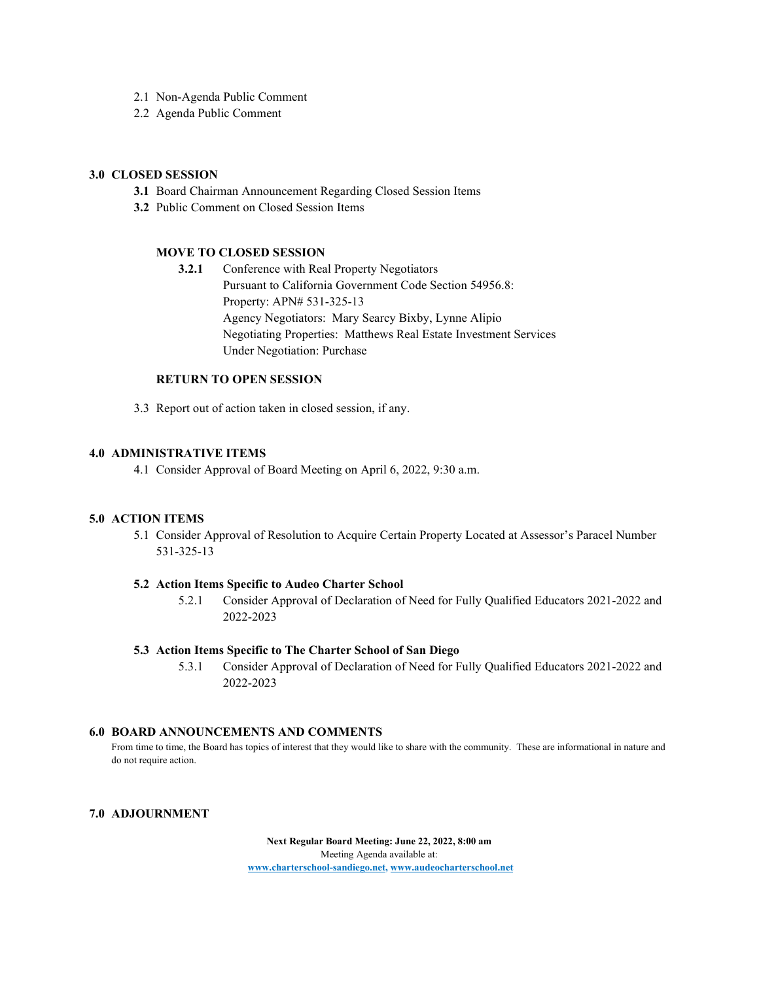- 2.1 Non-Agenda Public Comment
- 2.2 Agenda Public Comment

## **3.0 CLOSED SESSION**

- **3.1** Board Chairman Announcement Regarding Closed Session Items
- **3.2** Public Comment on Closed Session Items

## **MOVE TO CLOSED SESSION**

**3.2.1** Conference with Real Property Negotiators Pursuant to California Government Code Section 54956.8: Property: APN# 531-325-13 Agency Negotiators: Mary Searcy Bixby, Lynne Alipio Negotiating Properties: Matthews Real Estate Investment Services Under Negotiation: Purchase

#### **RETURN TO OPEN SESSION**

3.3 Report out of action taken in closed session, if any.

### **4.0 ADMINISTRATIVE ITEMS**

4.1 Consider Approval of Board Meeting on April 6, 2022, 9:30 a.m.

## **5.0 ACTION ITEMS**

5.1 Consider Approval of Resolution to Acquire Certain Property Located at Assessor's Paracel Number 531-325-13

#### **5.2 Action Items Specific to Audeo Charter School**

5.2.1 Consider Approval of Declaration of Need for Fully Qualified Educators 2021-2022 and 2022-2023

#### **5.3 Action Items Specific to The Charter School of San Diego**

5.3.1 Consider Approval of Declaration of Need for Fully Qualified Educators 2021-2022 and 2022-2023

#### **6.0 BOARD ANNOUNCEMENTS AND COMMENTS**

From time to time, the Board has topics of interest that they would like to share with the community. These are informational in nature and do not require action.

## **7.0 ADJOURNMENT**

**Next Regular Board Meeting: June 22, 2022, 8:00 am** Meeting Agenda available at: **[www.charterschool-sandiego.net,](http://www.charterschool-sandiego.net/) [www.audeocharterschool.net](http://www.audeocharterschool.net/)**